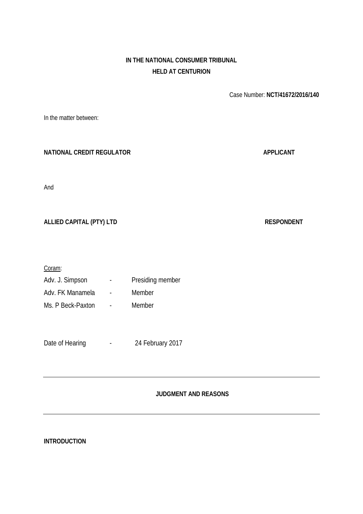# **IN THE NATIONAL CONSUMER TRIBUNAL HELD AT CENTURION**

Case Number: **NCT/41672/2016/140**

**NATIONAL CREDIT REGULATOR APPLICANT** And ALLIED CAPITAL (PTY) LTD **RESPONDENT** Coram: Adv. J. Simpson - Presiding member Adv. FK Manamela - Member Ms. P Beck-Paxton - Member Date of Hearing Facebook 24 February 2017

**JUDGMENT AND REASONS**

**INTRODUCTION**

In the matter between: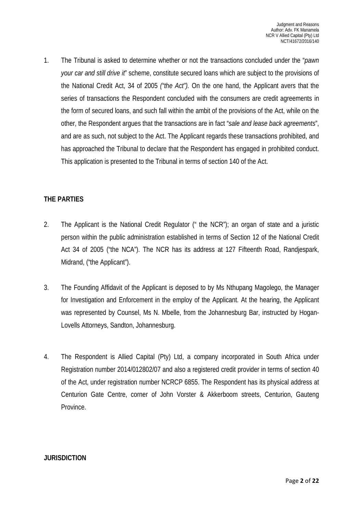1. The Tribunal is asked to determine whether or not the transactions concluded under the "*pawn your car and still drive it*" scheme, constitute secured loans which are subject to the provisions of the National Credit Act, 34 of 2005 *("the Act").* On the one hand, the Applicant avers that the series of transactions the Respondent concluded with the consumers are credit agreements in the form of secured loans, and such fall within the ambit of the provisions of the Act, while on the other, the Respondent argues that the transactions are in fact "*sale and lease back agreements*", and are as such, not subject to the Act. The Applicant regards these transactions prohibited, and has approached the Tribunal to declare that the Respondent has engaged in prohibited conduct. This application is presented to the Tribunal in terms of section 140 of the Act.

## **THE PARTIES**

- 2. The Applicant is the National Credit Regulator (" the NCR"); an organ of state and a juristic person within the public administration established in terms of Section 12 of the National Credit Act 34 of 2005 ("the NCA"). The NCR has its address at 127 Fifteenth Road, Randjespark, Midrand, ("the Applicant").
- 3. The Founding Affidavit of the Applicant is deposed to by Ms Nthupang Magolego, the Manager for Investigation and Enforcement in the employ of the Applicant. At the hearing, the Applicant was represented by Counsel, Ms N. Mbelle, from the Johannesburg Bar, instructed by Hogan-Lovells Attorneys, Sandton, Johannesburg.
- 4. The Respondent is Allied Capital (Pty) Ltd, a company incorporated in South Africa under Registration number 2014/012802/07 and also a registered credit provider in terms of section 40 of the Act, under registration number NCRCP 6855. The Respondent has its physical address at Centurion Gate Centre, corner of John Vorster & Akkerboom streets, Centurion, Gauteng Province.

#### **JURISDICTION**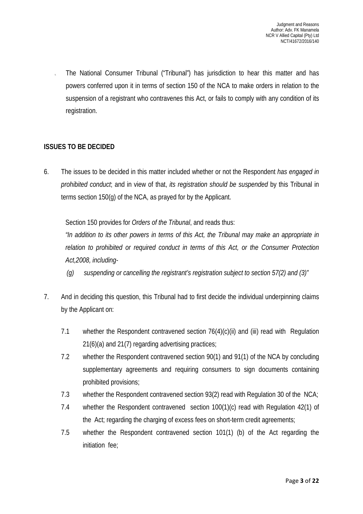5. The National Consumer Tribunal ("Tribunal") has jurisdiction to hear this matter and has powers conferred upon it in terms of section 150 of the NCA to make orders in relation to the suspension of a registrant who contravenes this Act, or fails to comply with any condition of its registration.

# **ISSUES TO BE DECIDED**

6. The issues to be decided in this matter included whether or not the Respondent *has engaged in prohibited conduct*; and in view of that, *its registration should be suspended* by this Tribunal in terms section 150(g) of the NCA, as prayed for by the Applicant.

Section 150 provides for *Orders of the Tribunal*, and reads thus:

*"In addition to its other powers in terms of this Act, the Tribunal may make an appropriate in relation to prohibited or required conduct in terms of this Act, or the Consumer Protection Act,2008, including-*

- *(g) suspending or cancelling the registrant's registration subject to section 57(2) and (3)"*
- 7. And in deciding this question, this Tribunal had to first decide the individual underpinning claims by the Applicant on:
	- 7.1 whether the Respondent contravened section 76(4)(c)(ii) and (iii) read with Regulation 21(6)(a) and 21(7) regarding advertising practices;
	- 7.2 whether the Respondent contravened section 90(1) and 91(1) of the NCA by concluding supplementary agreements and requiring consumers to sign documents containing prohibited provisions;
	- 7.3 whether the Respondent contravened section 93(2) read with Regulation 30 of the NCA;
	- 7.4 whether the Respondent contravened section 100(1)(c) read with Regulation 42(1) of the Act; regarding the charging of excess fees on short-term credit agreements;
	- 7.5 whether the Respondent contravened section 101(1) (b) of the Act regarding the initiation fee;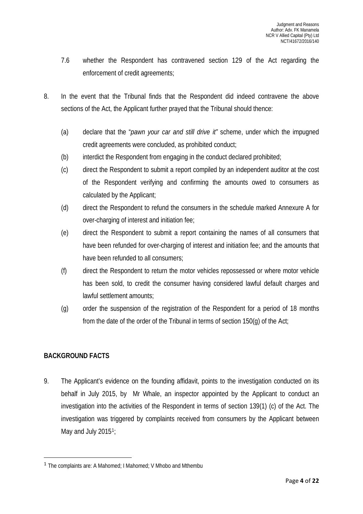- 7.6 whether the Respondent has contravened section 129 of the Act regarding the enforcement of credit agreements;
- 8. In the event that the Tribunal finds that the Respondent did indeed contravene the above sections of the Act, the Applicant further prayed that the Tribunal should thence:
	- (a) declare that the "*pawn your car and still drive it"* scheme, under which the impugned credit agreements were concluded, as prohibited conduct;
	- (b) interdict the Respondent from engaging in the conduct declared prohibited;
	- (c) direct the Respondent to submit a report compiled by an independent auditor at the cost of the Respondent verifying and confirming the amounts owed to consumers as calculated by the Applicant;
	- (d) direct the Respondent to refund the consumers in the schedule marked Annexure A for over-charging of interest and initiation fee;
	- (e) direct the Respondent to submit a report containing the names of all consumers that have been refunded for over-charging of interest and initiation fee; and the amounts that have been refunded to all consumers;
	- (f) direct the Respondent to return the motor vehicles repossessed or where motor vehicle has been sold, to credit the consumer having considered lawful default charges and lawful settlement amounts;
	- (g) order the suspension of the registration of the Respondent for a period of 18 months from the date of the order of the Tribunal in terms of section 150(g) of the Act;

# **BACKGROUND FACTS**

9. The Applicant's evidence on the founding affidavit, points to the investigation conducted on its behalf in July 2015, by Mr Whale, an inspector appointed by the Applicant to conduct an investigation into the activities of the Respondent in terms of section 139(1) (c) of the Act. The investigation was triggered by complaints received from consumers by the Applicant between May and July 20[1](#page-3-0)5<sup>1</sup>;

<span id="page-3-0"></span> <sup>1</sup> The complaints are: A Mahomed; I Mahomed; V Mhobo and Mthembu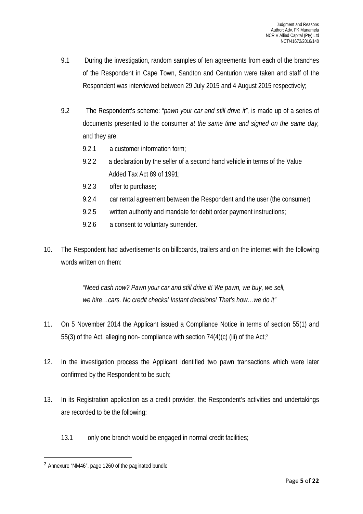- 9.1 During the investigation, random samples of ten agreements from each of the branches of the Respondent in Cape Town, Sandton and Centurion were taken and staff of the Respondent was interviewed between 29 July 2015 and 4 August 2015 respectively;
- 9.2 The Respondent's scheme: "*pawn your car and still drive it",* is made up of a series of documents presented to the consumer *at the same time and signed on the same day,* and they are:
	- 9.2.1 a customer information form;
	- 9.2.2 a declaration by the seller of a second hand vehicle in terms of the Value Added Tax Act 89 of 1991;
	- 9.2.3 offer to purchase;
	- 9.2.4 car rental agreement between the Respondent and the user (the consumer)
	- 9.2.5 written authority and mandate for debit order payment instructions;
	- 9.2.6 a consent to voluntary surrender.
- 10. The Respondent had advertisements on billboards, trailers and on the internet with the following words written on them:

*"Need cash now? Pawn your car and still drive it! We pawn, we buy, we sell, we hire…cars. No credit checks! Instant decisions! That's how…we do it"*

- 11. On 5 November 2014 the Applicant issued a Compliance Notice in terms of section 55(1) and 55(3) of the Act, alleging non- compliance with section  $74(4)(c)$  (iii) of the Act;<sup>[2](#page-4-0)</sup>
- 12. In the investigation process the Applicant identified two pawn transactions which were later confirmed by the Respondent to be such;
- 13. In its Registration application as a credit provider, the Respondent's activities and undertakings are recorded to be the following:
	- 13.1 only one branch would be engaged in normal credit facilities;

<span id="page-4-0"></span> <sup>2</sup> Annexure "NM46", page 1260 of the paginated bundle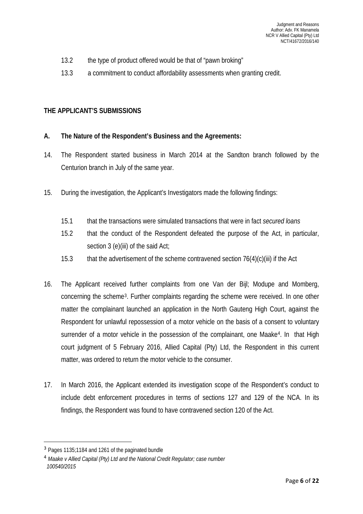- 13.2 the type of product offered would be that of "pawn broking"
- 13.3 a commitment to conduct affordability assessments when granting credit.

# **THE APPLICANT'S SUBMISSIONS**

# **A. The Nature of the Respondent's Business and the Agreements:**

- 14. The Respondent started business in March 2014 at the Sandton branch followed by the Centurion branch in July of the same year.
- 15. During the investigation, the Applicant's Investigators made the following findings:
	- 15.1 that the transactions were simulated transactions that were in fact *secured loans*
	- 15.2 that the conduct of the Respondent defeated the purpose of the Act, in particular, section 3 (e)(iii) of the said Act;
	- 15.3 that the advertisement of the scheme contravened section 76(4)(c)(iii) if the Act
- 16. The Applicant received further complaints from one Van der Bijl; Modupe and Momberg, concerning the scheme[3.](#page-5-0) Further complaints regarding the scheme were received. In one other matter the complainant launched an application in the North Gauteng High Court, against the Respondent for unlawful repossession of a motor vehicle on the basis of a consent to voluntary surrender of a motor vehicle in the possession of the complainant, one Maake<sup>[4](#page-5-1)</sup>. In that High court judgment of 5 February 2016, Allied Capital (Pty) Ltd, the Respondent in this current matter, was ordered to return the motor vehicle to the consumer.
- 17. In March 2016, the Applicant extended its investigation scope of the Respondent's conduct to include debt enforcement procedures in terms of sections 127 and 129 of the NCA. In its findings, the Respondent was found to have contravened section 120 of the Act.

<span id="page-5-0"></span> <sup>3</sup> Pages 1135;1184 and 1261 of the paginated bundle

<span id="page-5-1"></span><sup>4</sup> *Maake v Allied Capital (Pty) Ltd and the National Credit Regulator; case number 100540/2015*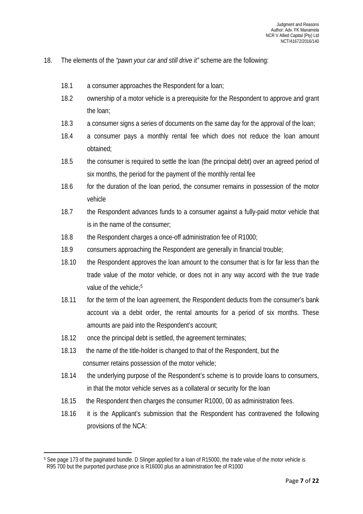- 18. The elements of the *"pawn your car and still drive it"* scheme are the following:
	- 18.1 a consumer approaches the Respondent for a loan;
	- 18.2 ownership of a motor vehicle is a prerequisite for the Respondent to approve and grant the loan;
	- 18.3 a consumer signs a series of documents on the same day for the approval of the loan;
	- 18.4 a consumer pays a monthly rental fee which does not reduce the loan amount obtained;
	- 18.5 the consumer is required to settle the loan (the principal debt) over an agreed period of six months, the period for the payment of the monthly rental fee
	- 18.6 for the duration of the loan period, the consumer remains in possession of the motor vehicle
	- 18.7 the Respondent advances funds to a consumer against a fully-paid motor vehicle that is in the name of the consumer;
	- 18.8 the Respondent charges a once-off administration fee of R1000;
	- 18.9 consumers approaching the Respondent are generally in financial trouble;
	- 18.10 the Respondent approves the loan amount to the consumer that is for far less than the trade value of the motor vehicle, or does not in any way accord with the true trade value of the vehicle:<sup>5</sup>
	- 18.11 for the term of the loan agreement, the Respondent deducts from the consumer's bank account via a debit order, the rental amounts for a period of six months. These amounts are paid into the Respondent's account;
	- 18.12 once the principal debt is settled, the agreement terminates;

 $\overline{\phantom{a}}$ 

- 18.13 the name of the title-holder is changed to that of the Respondent, but the consumer retains possession of the motor vehicle;
- 18.14 the underlying purpose of the Respondent's scheme is to provide loans to consumers, in that the motor vehicle serves as a collateral or security for the loan
- 18.15 the Respondent then charges the consumer R1000, 00 as administration fees.
- 18.16 it is the Applicant's submission that the Respondent has contravened the following provisions of the NCA:

<span id="page-6-0"></span><sup>&</sup>lt;sup>5</sup> See page 173 of the paginated bundle. D Slinger applied for a loan of R15000, the trade value of the motor vehicle is R95 700 but the purported purchase price is R16000 plus an administration fee of R1000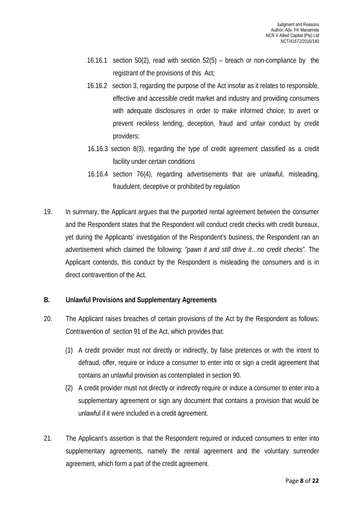- 16.16.1 section 50(2), read with section 52(5) breach or non-compliance by the registrant of the provisions of this Act;
- 16.16.2 section 3, regarding the purpose of the Act insofar as it relates to responsible, effective and accessible credit market and industry and providing consumers with adequate disclosures in order to make informed choice; to avert or prevent reckless lending, deception, fraud and unfair conduct by credit providers;
- 16.16.3 section 8(3), regarding the type of credit agreement classified as a credit facility under certain conditions
- 16.16.4 section 76(4), regarding advertisements that are unlawful, misleading, fraudulent, deceptive or prohibited by regulation
- 19. In summary, the Applicant argues that the purported rental agreement between the consumer and the Respondent states that the Respondent will conduct credit checks with credit bureaux, yet during the Applicants' investigation of the Respondent's business, the Respondent ran an advertisement which claimed the following: *"pawn it and still drive it…no credit checks".* The Applicant contends, this conduct by the Respondent is misleading the consumers and is in direct contravention of the Act.

#### **B. Unlawful Provisions and Supplementary Agreements**

- 20. The Applicant raises breaches of certain provisions of the Act by the Respondent as follows: Contravention of section 91 of the Act, which provides that:
	- (1) A credit provider must not directly or indirectly, by false pretences or with the intent to defraud, offer, require or induce a consumer to enter into or sign a credit agreement that contains an unlawful provision as contemplated in section 90.
	- (2) A credit provider must not directly or indirectly require or induce a consumer to enter into a supplementary agreement or sign any document that contains a provision that would be unlawful if it were included in a credit agreement.
- 21. The Applicant's assertion is that the Respondent required or induced consumers to enter into supplementary agreements, namely the rental agreement and the voluntary surrender agreement, which form a part of the credit agreement.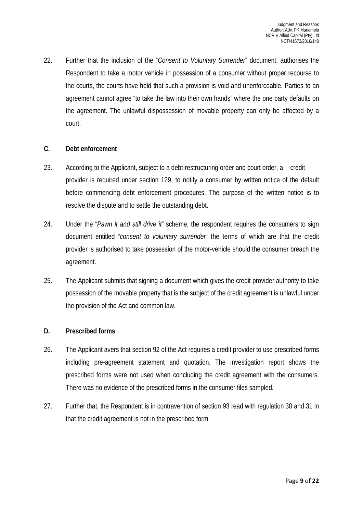22. Further that the inclusion of the "*Consent to Voluntary Surrender*" document, authorises the Respondent to take a motor vehicle in possession of a consumer without proper recourse to the courts, the courts have held that such a provision is void and unenforceable. Parties to an agreement cannot agree "to take the law into their own hands" where the one party defaults on the agreement. The unlawful dispossession of movable property can only be affected by a court.

#### **C. Debt enforcement**

- 23. According to the Applicant, subject to a debt-restructuring order and court order, a credit provider is required under section 129, to notify a consumer by written notice of the default before commencing debt enforcement procedures. The purpose of the written notice is to resolve the dispute and to settle the outstanding debt.
- 24. Under the "*Pawn it and still drive it*" scheme, the respondent requires the consumers to sign document entitled "*consent to voluntary surrender*" the terms of which are that the credit provider is authorised to take possession of the motor-vehicle should the consumer breach the agreement.
- 25. The Applicant submits that signing a document which gives the credit provider authority to take possession of the movable property that is the subject of the credit agreement is unlawful under the provision of the Act and common law.

#### **D. Prescribed forms**

- 26. The Applicant avers that section 92 of the Act requires a credit provider to use prescribed forms including pre-agreement statement and quotation. The investigation report shows the prescribed forms were not used when concluding the credit agreement with the consumers. There was no evidence of the prescribed forms in the consumer files sampled.
- 27. Further that, the Respondent is in contravention of section 93 read with regulation 30 and 31 in that the credit agreement is not in the prescribed form.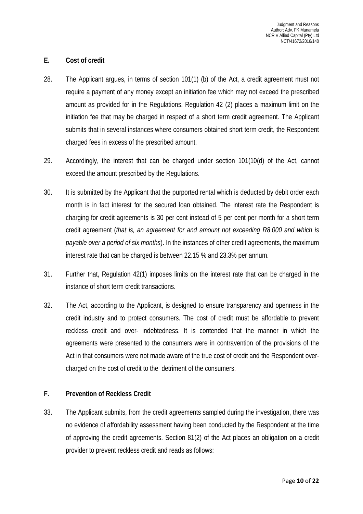#### **E. Cost of credit**

- 28. The Applicant argues, in terms of section 101(1) (b) of the Act, a credit agreement must not require a payment of any money except an initiation fee which may not exceed the prescribed amount as provided for in the Regulations. Regulation 42 (2) places a maximum limit on the initiation fee that may be charged in respect of a short term credit agreement. The Applicant submits that in several instances where consumers obtained short term credit, the Respondent charged fees in excess of the prescribed amount.
- 29. Accordingly, the interest that can be charged under section 101(10(d) of the Act, cannot exceed the amount prescribed by the Regulations.
- 30. It is submitted by the Applicant that the purported rental which is deducted by debit order each month is in fact interest for the secured loan obtained. The interest rate the Respondent is charging for credit agreements is 30 per cent instead of 5 per cent per month for a short term credit agreement (*that is, an agreement for and amount not exceeding R8 000 and which is payable over a period of six months*). In the instances of other credit agreements, the maximum interest rate that can be charged is between 22.15 % and 23.3% per annum.
- 31. Further that, Regulation 42(1) imposes limits on the interest rate that can be charged in the instance of short term credit transactions.
- 32. The Act, according to the Applicant, is designed to ensure transparency and openness in the credit industry and to protect consumers. The cost of credit must be affordable to prevent reckless credit and over- indebtedness. It is contended that the manner in which the agreements were presented to the consumers were in contravention of the provisions of the Act in that consumers were not made aware of the true cost of credit and the Respondent overcharged on the cost of credit to the detriment of the consumers.

#### **F. Prevention of Reckless Credit**

33. The Applicant submits, from the credit agreements sampled during the investigation, there was no evidence of affordability assessment having been conducted by the Respondent at the time of approving the credit agreements. Section 81(2) of the Act places an obligation on a credit provider to prevent reckless credit and reads as follows: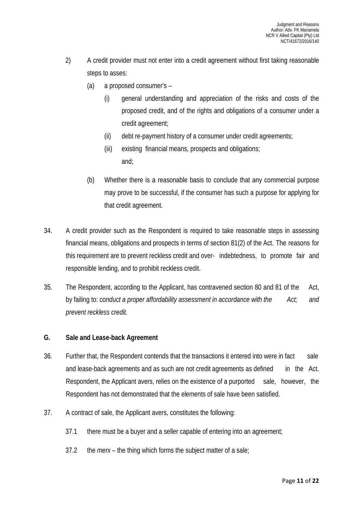- 2) A credit provider must not enter into a credit agreement without first taking reasonable steps to asses:
	- (a) a proposed consumer's
		- (i) general understanding and appreciation of the risks and costs of the proposed credit, and of the rights and obligations of a consumer under a credit agreement;
		- (ii) debt re-payment history of a consumer under credit agreements;
		- (iii) existing financial means, prospects and obligations; and;
	- (b) Whether there is a reasonable basis to conclude that any commercial purpose may prove to be successful, if the consumer has such a purpose for applying for that credit agreement.
- 34. A credit provider such as the Respondent is required to take reasonable steps in assessing financial means, obligations and prospects in terms of section 81(2) of the Act. The reasons for this requirement are to prevent reckless credit and over- indebtedness, to promote fair and responsible lending, and to prohibit reckless credit.
- 35. The Respondent, according to the Applicant, has contravened section 80 and 81 of the Act, by failing to: *conduct a proper affordability assessment in accordance with the Act; and prevent reckless credit.*

#### **G. Sale and Lease-back Agreement**

- 36. Further that, the Respondent contends that the transactions it entered into were in fact sale and lease-back agreements and as such are not credit agreements as defined in the Act. Respondent, the Applicant avers, relies on the existence of a purported sale, however, the Respondent has not demonstrated that the elements of sale have been satisfied.
- 37. A contract of sale, the Applicant avers, constitutes the following:
	- 37.1 there must be a buyer and a seller capable of entering into an agreement;
	- 37.2 the *merx –* the thing which forms the subject matter of a sale;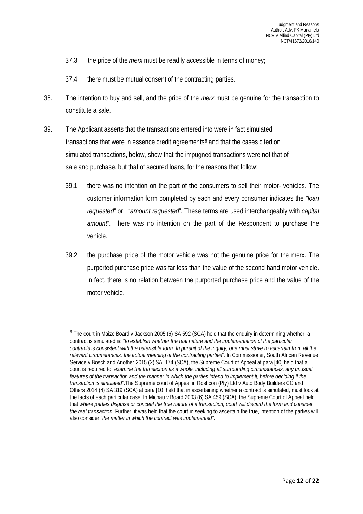- 37.3 the price of the *merx* must be readily accessible in terms of money;
- 37.4 there must be mutual consent of the contracting parties.
- 38. The intention to buy and sell, and the price of the *merx* must be genuine for the transaction to constitute a sale.
- 39. The Applicant asserts that the transactions entered into were in fact simulated transactions that were in essence credit agreements<sup>[6](#page-11-0)</sup> and that the cases cited on simulated transactions, below, show that the impugned transactions were not that of sale and purchase, but that of secured loans, for the reasons that follow:
	- 39.1 there was no intention on the part of the consumers to sell their motor- vehicles. The customer information form completed by each and every consumer indicates the *"loan requested*" or "*amount requested*". These terms are used interchangeably with *capital amount*". There was no intention on the part of the Respondent to purchase the vehicle.
	- 39.2 the purchase price of the motor vehicle was not the genuine price for the merx. The purported purchase price was far less than the value of the second hand motor vehicle. In fact, there is no relation between the purported purchase price and the value of the motor vehicle.

<span id="page-11-0"></span><sup>&</sup>lt;sup>6</sup> The court in Maize Board v Jackson 2005 (6) SA 592 (SCA) held that the enquiry in determining whether a contract is simulated is: "*to establish whether the real nature and the implementation of the particular contracts is consistent with the ostensible form. In pursuit of the inquiry, one must strive to ascertain from all the relevant circumstances, the actual meaning of the contracting parties*". In Commissioner, South African Revenue Service v Bosch and Another 2015 (2) SA 174 (SCA), the Supreme Court of Appeal at para [40] held that a court is required to "*examine the transaction as a whole, including all surrounding circumstances, any unusual features of the transaction and the manner in which the parties intend to implement it, before deciding if the transaction is simulated"*.The Supreme court of Appeal in Roshcon (Pty) Ltd v Auto Body Builders CC and Others 2014 (4) SA 319 (SCA) at para [10] held that in ascertaining whether a contract is simulated, must look at the facts of each particular case. In Michau v Board 2003 (6) SA 459 (SCA), the Supreme Court of Appeal held that *where parties disguise or conceal the true nature of a transaction, court will discard the form and consider the real transaction*. Further, it was held that the court in seeking to ascertain the true, intention of the parties will also consider "*the matter in which the contract was implemented".*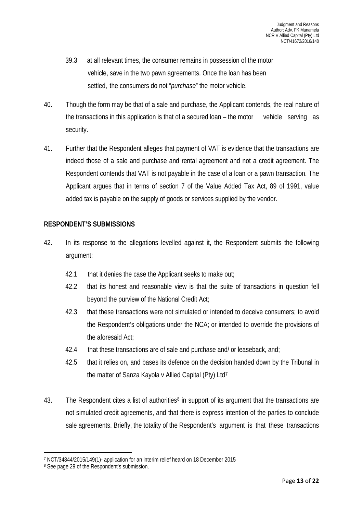- 39.3 at all relevant times, the consumer remains in possession of the motor vehicle, save in the two pawn agreements. Once the loan has been settled, the consumers do not "*purchase*" the motor vehicle.
- 40. Though the form may be that of a sale and purchase, the Applicant contends, the real nature of the transactions in this application is that of a secured loan – the motor vehicle serving as security.
- 41. Further that the Respondent alleges that payment of VAT is evidence that the transactions are indeed those of a sale and purchase and rental agreement and not a credit agreement. The Respondent contends that VAT is not payable in the case of a loan or a pawn transaction. The Applicant argues that in terms of section 7 of the Value Added Tax Act, 89 of 1991, value added tax is payable on the supply of goods or services supplied by the vendor.

## **RESPONDENT'S SUBMISSIONS**

- 42. In its response to the allegations levelled against it, the Respondent submits the following argument:
	- 42.1 that it denies the case the Applicant seeks to make out;
	- 42.2 that its honest and reasonable view is that the suite of transactions in question fell beyond the purview of the National Credit Act;
	- 42.3 that these transactions were not simulated or intended to deceive consumers; to avoid the Respondent's obligations under the NCA; or intended to override the provisions of the aforesaid Act;
	- 42.4 that these transactions are of sale and purchase and/ or leaseback, and;
	- 42.5 that it relies on, and bases its defence on the decision handed down by the Tribunal in the matter of Sanza Kayola v Allied Capital (Pty) Ltd[7](#page-12-0)
- 43. The Respondent cites a list of authorities<sup>[8](#page-12-1)</sup> in support of its argument that the transactions are not simulated credit agreements, and that there is express intention of the parties to conclude sale agreements. Briefly, the totality of the Respondent's argument is that these transactions

 $\overline{\phantom{a}}$ 

<span id="page-12-0"></span><sup>7</sup> NCT/34844/2015/149(1)- application for an interim relief heard on 18 December 2015

<span id="page-12-1"></span><sup>&</sup>lt;sup>8</sup> See page 29 of the Respondent's submission.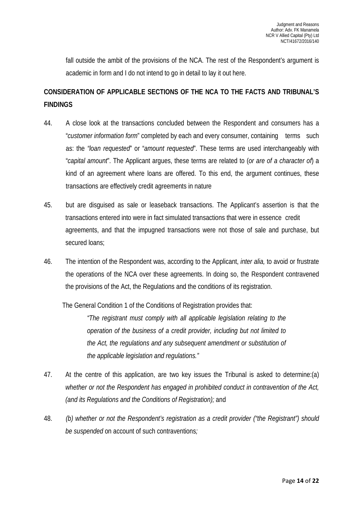fall outside the ambit of the provisions of the NCA. The rest of the Respondent's argument is academic in form and I do not intend to go in detail to lay it out here.

# **CONSIDERATION OF APPLICABLE SECTIONS OF THE NCA TO THE FACTS AND TRIBUNAL'S FINDINGS**

- 44. A close look at the transactions concluded between the Respondent and consumers has a "*customer information form*" completed by each and every consumer, containing terms such as: the *"loan requested*" or "*amount requested*". These terms are used interchangeably with "*capital amount*". The Applicant argues, these terms are related to (*or are of a character of*) a kind of an agreement where loans are offered. To this end, the argument continues, these transactions are effectively credit agreements in nature
- 45. but are disguised as sale or leaseback transactions. The Applicant's assertion is that the transactions entered into were in fact simulated transactions that were in essence credit agreements, and that the impugned transactions were not those of sale and purchase, but secured loans;
- 46. The intention of the Respondent was, according to the Applicant, *inter alia,* to avoid or frustrate the operations of the NCA over these agreements. In doing so, the Respondent contravened the provisions of the Act, the Regulations and the conditions of its registration.

The General Condition 1 of the Conditions of Registration provides that:

*"The registrant must comply with all applicable legislation relating to the operation of the business of a credit provider, including but not limited to the Act, the regulations and any subsequent amendment or substitution of the applicable legislation and regulations."*

- 47. At the centre of this application, are two key issues the Tribunal is asked to determine:(a) *whether or not the Respondent has engaged in prohibited conduct in contravention of the Act, (and its Regulations and the Conditions of Registration);* and
- 48. *(b) whether or not the Respondent's registration as a credit provider ("the Registrant") should be suspended* on account of such contraventions*;*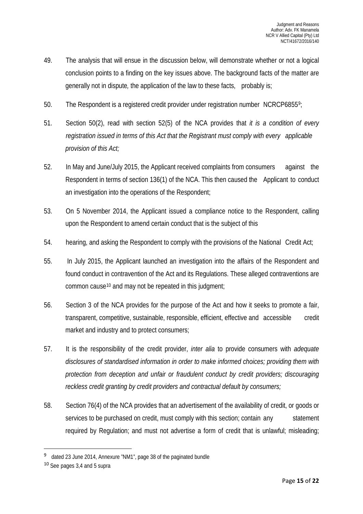- 49. The analysis that will ensue in the discussion below, will demonstrate whether or not a logical conclusion points to a finding on the key issues above. The background facts of the matter are generally not in dispute*,* the application of the law to these facts, probably is;
- 50. The Respondent is a registered credit provider under registration number NCRCP6855[9](#page-14-0);
- 51. Section 50(2), read with section 52(5) of the NCA provides that *it is a condition of every registration issued in terms of this Act that the Registrant must comply with every applicable provision of this Act;*
- 52. In May and June/July 2015, the Applicant received complaints from consumers against the Respondent in terms of section 136(1) of the NCA. This then caused the Applicant to conduct an investigation into the operations of the Respondent;
- 53. On 5 November 2014, the Applicant issued a compliance notice to the Respondent, calling upon the Respondent to amend certain conduct that is the subject of this
- 54. hearing, and asking the Respondent to comply with the provisions of the National Credit Act;
- 55. In July 2015, the Applicant launched an investigation into the affairs of the Respondent and found conduct in contravention of the Act and its Regulations. These alleged contraventions are common cause[10](#page-14-1) and may not be repeated in this judgment;
- 56. Section 3 of the NCA provides for the purpose of the Act and how it seeks to promote a fair, transparent, competitive, sustainable, responsible, efficient, effective and accessible credit market and industry and to protect consumers;
- 57. It is the responsibility of the credit provider, *inter alia* to provide consumers with *adequate disclosures of standardised information in order to make informed choices; providing them with protection from deception and unfair or fraudulent conduct by credit providers; discouraging reckless credit granting by credit providers and contractual default by consumers;*
- 58. Section 76(4) of the NCA provides that an advertisement of the availability of credit, or goods or services to be purchased on credit, must comply with this section; contain any statement required by Regulation; and must not advertise a form of credit that is unlawful; misleading;

<span id="page-14-0"></span> <sup>9</sup> dated 23 June 2014, Annexure "NM1", page 38 of the paginated bundle

<span id="page-14-1"></span><sup>10</sup> See pages 3,4 and 5 supra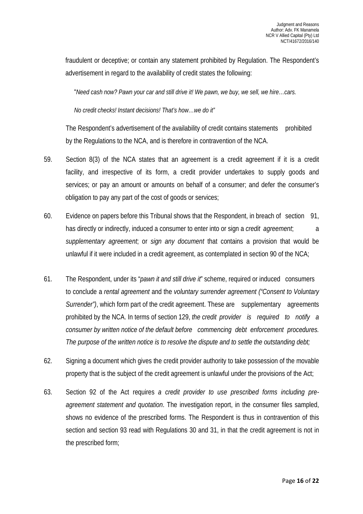fraudulent or deceptive; or contain any statement prohibited by Regulation. The Respondent's advertisement in regard to the availability of credit states the following:

"*Need cash now? Pawn your car and still drive it! We pawn, we buy, we sell, we hire…cars.* 

*No credit checks! Instant decisions! That's how…we do it"*

The Respondent's advertisement of the availability of credit contains statements prohibited by the Regulations to the NCA, and is therefore in contravention of the NCA.

- 59. Section 8(3) of the NCA states that an agreement is a credit agreement if it is a credit facility, and irrespective of its form, a credit provider undertakes to supply goods and services; or pay an amount or amounts on behalf of a consumer; and defer the consumer's obligation to pay any part of the cost of goods or services;
- 60. Evidence on papers before this Tribunal shows that the Respondent, in breach of section 91, has directly or indirectly, induced a consumer to enter into or sign a *credit agreement*; a *supplementary agreement*; or *sign any document* that contains a provision that would be unlawful if it were included in a credit agreement, as contemplated in section 90 of the NCA;
- 61. The Respondent, under its "*pawn it and still drive it*" scheme, required or induced consumers to conclude a *rental agreement* and the *voluntary surrender agreement ("Consent to Voluntary Surrender"*), which form part of the credit agreement. These are supplementary agreements prohibited by the NCA. In terms of section 129, *the credit provider is required to notify a consumer by written notice of the default before commencing debt enforcement procedures. The purpose of the written notice is to resolve the dispute and to settle the outstanding debt;*
- 62. Signing a document which gives the credit provider authority to take possession of the movable property that is the subject of the credit agreement is unlawful under the provisions of the Act;
- 63. Section 92 of the Act requires *a credit provider to use prescribed forms including preagreement statement and quotation*. The investigation report, in the consumer files sampled, shows no evidence of the prescribed forms. The Respondent is thus in contravention of this section and section 93 read with Regulations 30 and 31, in that the credit agreement is not in the prescribed form;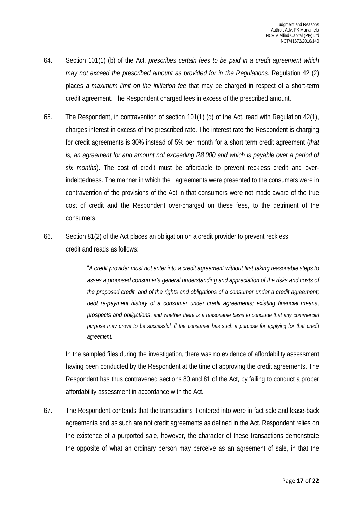- 64. Section 101(1) (b) of the Act, *prescribes certain fees to be paid in a credit agreement which may not exceed the prescribed amount as provided for in the Regulations*. Regulation 42 (2) places *a maximum limit on the initiation fee* that may be charged in respect of a short-term credit agreement. The Respondent charged fees in excess of the prescribed amount.
- 65. The Respondent, in contravention of section 101(1) (d) of the Act, read with Regulation 42(1), charges interest in excess of the prescribed rate. The interest rate the Respondent is charging for credit agreements is 30% instead of 5% per month for a short term credit agreement (*that is, an agreement for and amount not exceeding R8 000 and which is payable over a period of six months*). The cost of credit must be affordable to prevent reckless credit and overindebtedness. The manner in which the agreements were presented to the consumers were in contravention of the provisions of the Act in that consumers were not made aware of the true cost of credit and the Respondent over-charged on these fees, to the detriment of the consumers.
- 66. Section 81(2) of the Act places an obligation on a credit provider to prevent reckless credit and reads as follows:

"*A credit provider must not enter into a credit agreement without first taking reasonable steps to asses a proposed consumer's general understanding and appreciation of the risks and costs of the proposed credit, and of the rights and obligations of a consumer under a credit agreement; debt re-payment history of a consumer under credit agreements; existing financial means, prospects and obligations*, *and whether there is a reasonable basis to conclude that any commercial purpose may prove to be successful, if the consumer has such a purpose for applying for that credit agreement.*

In the sampled files during the investigation, there was no evidence of affordability assessment having been conducted by the Respondent at the time of approving the credit agreements. The Respondent has thus contravened sections 80 and 81 of the Act, by failing to conduct a proper affordability assessment in accordance with the Act*.*

67. The Respondent contends that the transactions it entered into were in fact sale and lease-back agreements and as such are not credit agreements as defined in the Act. Respondent relies on the existence of a purported sale, however, the character of these transactions demonstrate the opposite of what an ordinary person may perceive as an agreement of sale, in that the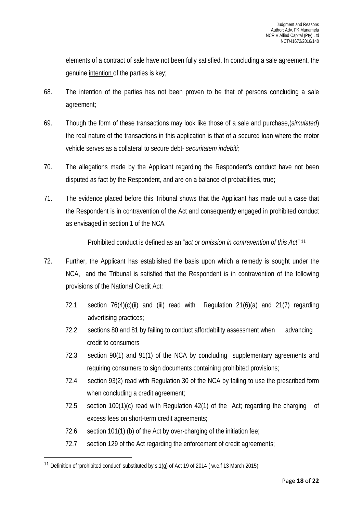elements of a contract of sale have not been fully satisfied. In concluding a sale agreement, the genuine intention of the parties is key;

- 68. The intention of the parties has not been proven to be that of persons concluding a sale agreement;
- 69. Though the form of these transactions may look like those of a sale and purchase,(*simulated*) the real nature of the transactions in this application is that of a secured loan where the motor vehicle serves as a collateral to secure debt- *securitatem indebiti;*
- 70. The allegations made by the Applicant regarding the Respondent's conduct have not been disputed as fact by the Respondent, and are on a balance of probabilities, true;
- 71. The evidence placed before this Tribunal shows that the Applicant has made out a case that the Respondent is in contravention of the Act and consequently engaged in prohibited conduct as envisaged in section 1 of the NCA.

Prohibited conduct is defined as an "*act or omission in contravention of this Act"* [11](#page-17-0) 

- 72. Further, the Applicant has established the basis upon which a remedy is sought under the NCA, and the Tribunal is satisfied that the Respondent is in contravention of the following provisions of the National Credit Act:
	- 72.1 section  $76(4)(c)(ii)$  and (iii) read with Regulation  $21(6)(a)$  and  $21(7)$  regarding advertising practices;
	- 72.2 sections 80 and 81 by failing to conduct affordability assessment when advancing credit to consumers
	- 72.3 section 90(1) and 91(1) of the NCA by concluding supplementary agreements and requiring consumers to sign documents containing prohibited provisions;
	- 72.4 section 93(2) read with Regulation 30 of the NCA by failing to use the prescribed form when concluding a credit agreement;
	- 72.5 section 100(1)(c) read with Regulation 42(1) of the Act; regarding the charging of excess fees on short-term credit agreements;
	- 72.6 section 101(1) (b) of the Act by over-charging of the initiation fee;
	- 72.7 section 129 of the Act regarding the enforcement of credit agreements;

<span id="page-17-0"></span> <sup>11</sup> Definition of 'prohibited conduct' substituted by s.1(g) of Act 19 of 2014 ( w.e.f 13 March 2015)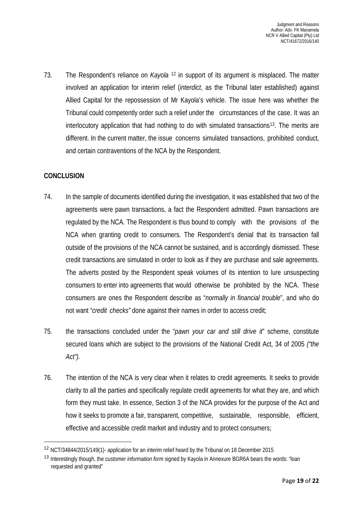73. The Respondent's reliance on *Kayola* [12](#page-18-0) in support of its argument is misplaced. The matter involved an application for interim relief (*interdict*, as the Tribunal later established) against Allied Capital for the repossession of Mr Kayola's vehicle. The issue here was whether the Tribunal could competently order such a relief under the circumstances of the case. It was an interlocutory application that had nothing to do with simulated transactions<sup>[13](#page-18-1)</sup>. The merits are different. In the current matter, the issue concerns simulated transactions, prohibited conduct, and certain contraventions of the NCA by the Respondent.

## **CONCLUSION**

- 74. In the sample of documents identified during the investigation, it was established that two of the agreements were pawn transactions, a fact the Respondent admitted. Pawn transactions are regulated by the NCA. The Respondent is thus bound to comply with the provisions of the NCA when granting credit to consumers. The Respondent's denial that its transaction fall outside of the provisions of the NCA cannot be sustained, and is accordingly dismissed. These credit transactions are simulated in order to look as if they are purchase and sale agreements. The adverts posted by the Respondent speak volumes of its intention to lure unsuspecting consumers to enter into agreements that would otherwise be prohibited by the NCA. These consumers are ones the Respondent describe as "*normally in financial trouble*", and who do not want "*credit checks"* done against their names in order to access credit;
- 75. the transactions concluded under the "*pawn your car and still drive it*" scheme, constitute secured loans which are subject to the provisions of the National Credit Act, 34 of 2005 *("the Act").*
- 76. The intention of the NCA is very clear when it relates to credit agreements. It seeks to provide clarity to all the parties and specifically regulate credit agreements for what they are, and which form they must take. In essence, Section 3 of the NCA provides for the purpose of the Act and how it seeks to promote a fair, transparent, competitive, sustainable, responsible, efficient, effective and accessible credit market and industry and to protect consumers;

<span id="page-18-0"></span> <sup>12</sup> NCT/34844/2015/149(1)- application for an interim relief heard by the Tribunal on 18 December 2015

<span id="page-18-1"></span><sup>13</sup> Interestingly though, the *customer information form* signed by Kayola in Annexure BGR6A bears the words: "loan requested and granted"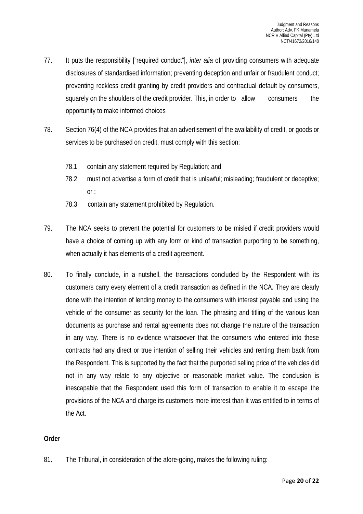- 77. It puts the responsibility ["required conduct"], *inter alia* of providing consumers with adequate disclosures of standardised information; preventing deception and unfair or fraudulent conduct; preventing reckless credit granting by credit providers and contractual default by consumers, squarely on the shoulders of the credit provider. This, in order to allow consumers the opportunity to make informed choices
- 78. Section 76(4) of the NCA provides that an advertisement of the availability of credit, or goods or services to be purchased on credit, must comply with this section;
	- 78.1 contain any statement required by Regulation; and
	- 78.2 must not advertise a form of credit that is unlawful; misleading; fraudulent or deceptive; or ;
	- 78.3 contain any statement prohibited by Regulation.
- 79. The NCA seeks to prevent the potential for customers to be misled if credit providers would have a choice of coming up with any form or kind of transaction purporting to be something, when actually it has elements of a credit agreement.
- 80. To finally conclude, in a nutshell, the transactions concluded by the Respondent with its customers carry every element of a credit transaction as defined in the NCA. They are clearly done with the intention of lending money to the consumers with interest payable and using the vehicle of the consumer as security for the loan. The phrasing and titling of the various loan documents as purchase and rental agreements does not change the nature of the transaction in any way. There is no evidence whatsoever that the consumers who entered into these contracts had any direct or true intention of selling their vehicles and renting them back from the Respondent. This is supported by the fact that the purported selling price of the vehicles did not in any way relate to any objective or reasonable market value. The conclusion is inescapable that the Respondent used this form of transaction to enable it to escape the provisions of the NCA and charge its customers more interest than it was entitled to in terms of the Act.

#### **Order**

81. The Tribunal, in consideration of the afore-going, makes the following ruling: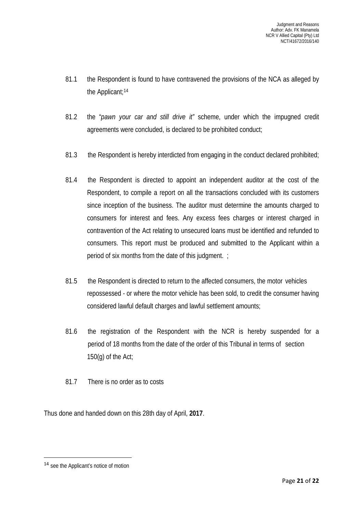- 81.1 the Respondent is found to have contravened the provisions of the NCA as alleged by the Applicant;[14](#page-20-0)
- 81.2 the "*pawn your car and still drive it"* scheme, under which the impugned credit agreements were concluded, is declared to be prohibited conduct;
- 81.3 the Respondent is hereby interdicted from engaging in the conduct declared prohibited;
- 81.4 the Respondent is directed to appoint an independent auditor at the cost of the Respondent, to compile a report on all the transactions concluded with its customers since inception of the business. The auditor must determine the amounts charged to consumers for interest and fees. Any excess fees charges or interest charged in contravention of the Act relating to unsecured loans must be identified and refunded to consumers. This report must be produced and submitted to the Applicant within a period of six months from the date of this judgment. ;
- 81.5 the Respondent is directed to return to the affected consumers, the motor vehicles repossessed - or where the motor vehicle has been sold, to credit the consumer having considered lawful default charges and lawful settlement amounts;
- 81.6 the registration of the Respondent with the NCR is hereby suspended for a period of 18 months from the date of the order of this Tribunal in terms of section 150 $(q)$  of the Act;
- 81.7 There is no order as to costs

Thus done and handed down on this 28th day of April, **2017**.

<span id="page-20-0"></span> <sup>14</sup> see the Applicant's notice of motion